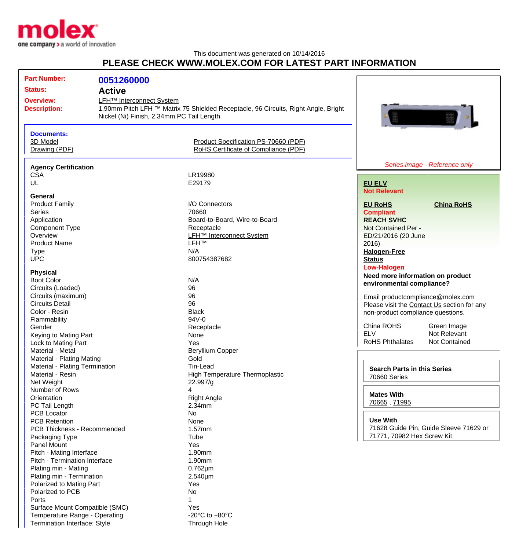

## This document was generated on 10/14/2016 **PLEASE CHECK WWW.MOLEX.COM FOR LATEST PART INFORMATION**

| <b>Part Number:</b>                     | 0051260000                                                                                                                                                              |                                            |                                                |
|-----------------------------------------|-------------------------------------------------------------------------------------------------------------------------------------------------------------------------|--------------------------------------------|------------------------------------------------|
| <b>Status:</b>                          |                                                                                                                                                                         |                                            |                                                |
|                                         | <b>Active</b>                                                                                                                                                           |                                            |                                                |
| <b>Overview:</b><br><b>Description:</b> | LFH <sup>™</sup> Interconnect System<br>1.90mm Pitch LFH ™ Matrix 75 Shielded Receptacle, 96 Circuits, Right Angle, Bright<br>Nickel (Ni) Finish, 2.34mm PC Tail Length |                                            |                                                |
| <b>Documents:</b>                       |                                                                                                                                                                         |                                            |                                                |
| 3D Model                                |                                                                                                                                                                         | Product Specification PS-70660 (PDF)       |                                                |
| Drawing (PDF)                           |                                                                                                                                                                         | RoHS Certificate of Compliance (PDF)       |                                                |
| <b>Agency Certification</b>             |                                                                                                                                                                         |                                            | Series image - Reference only                  |
| <b>CSA</b>                              |                                                                                                                                                                         | LR19980                                    |                                                |
| UL                                      |                                                                                                                                                                         | E29179                                     | <b>EU ELV</b>                                  |
|                                         |                                                                                                                                                                         |                                            | <b>Not Relevant</b>                            |
| General                                 |                                                                                                                                                                         |                                            |                                                |
| <b>Product Family</b>                   |                                                                                                                                                                         | I/O Connectors                             | <b>EU RoHS</b><br><b>China RoHS</b>            |
| <b>Series</b>                           |                                                                                                                                                                         | 70660                                      | <b>Compliant</b>                               |
| Application                             |                                                                                                                                                                         | Board-to-Board, Wire-to-Board              | <b>REACH SVHC</b>                              |
| <b>Component Type</b>                   |                                                                                                                                                                         | Receptacle                                 | Not Contained Per -                            |
| Overview                                |                                                                                                                                                                         | <b>LFH<sup>™</sup></b> Interconnect System | ED/21/2016 (20 June                            |
| <b>Product Name</b>                     |                                                                                                                                                                         | <b>LFH™</b>                                | 2016                                           |
| <b>Type</b>                             |                                                                                                                                                                         | N/A                                        | <b>Halogen-Free</b>                            |
| <b>UPC</b>                              |                                                                                                                                                                         | 800754387682                               | <b>Status</b>                                  |
|                                         |                                                                                                                                                                         |                                            | <b>Low-Halogen</b>                             |
| <b>Physical</b>                         |                                                                                                                                                                         |                                            | Need more information on product               |
| <b>Boot Color</b>                       |                                                                                                                                                                         | N/A                                        | environmental compliance?                      |
| Circuits (Loaded)                       |                                                                                                                                                                         | 96                                         |                                                |
| Circuits (maximum)                      |                                                                                                                                                                         | 96                                         | Email productcompliance@molex.com              |
| <b>Circuits Detail</b>                  |                                                                                                                                                                         | 96                                         | Please visit the Contact Us section for any    |
| Color - Resin                           |                                                                                                                                                                         | <b>Black</b>                               | non-product compliance questions.              |
| Flammability                            |                                                                                                                                                                         | 94V-0                                      |                                                |
| Gender                                  |                                                                                                                                                                         | Receptacle                                 | China ROHS<br>Green Image                      |
| Keying to Mating Part                   |                                                                                                                                                                         | None                                       | Not Relevant<br><b>ELV</b>                     |
| Lock to Mating Part                     |                                                                                                                                                                         | Yes                                        | <b>RoHS Phthalates</b><br><b>Not Contained</b> |
| Material - Metal                        |                                                                                                                                                                         | <b>Beryllium Copper</b>                    |                                                |
| Material - Plating Mating               |                                                                                                                                                                         | Gold                                       |                                                |
| Material - Plating Termination          |                                                                                                                                                                         | Tin-Lead                                   | <b>Search Parts in this Series</b>             |
| Material - Resin                        |                                                                                                                                                                         | High Temperature Thermoplastic             | 70660 Series                                   |
| Net Weight                              |                                                                                                                                                                         | 22.997/g                                   |                                                |
| Number of Rows                          |                                                                                                                                                                         | 4                                          |                                                |
| Orientation                             |                                                                                                                                                                         | <b>Right Angle</b>                         | <b>Mates With</b>                              |
| PC Tail Length                          |                                                                                                                                                                         | 2.34mm                                     | 70665, 71995                                   |
| <b>PCB Locator</b>                      |                                                                                                                                                                         | No                                         |                                                |
| <b>PCB Retention</b>                    |                                                                                                                                                                         | None                                       | <b>Use With</b>                                |
| PCB Thickness - Recommended             |                                                                                                                                                                         | $1.57$ mm                                  | 71628 Guide Pin, Guide Sleeve 71629 or         |
| Packaging Type                          |                                                                                                                                                                         | Tube                                       | 71771, 70982 Hex Screw Kit                     |
| <b>Panel Mount</b>                      |                                                                                                                                                                         | Yes                                        |                                                |
| Pitch - Mating Interface                |                                                                                                                                                                         | 1.90mm                                     |                                                |
| Pitch - Termination Interface           |                                                                                                                                                                         | 1.90mm                                     |                                                |
| Plating min - Mating                    |                                                                                                                                                                         | $0.762 \mu m$                              |                                                |
| Plating min - Termination               |                                                                                                                                                                         |                                            |                                                |
|                                         |                                                                                                                                                                         | $2.540 \mu m$                              |                                                |
| Polarized to Mating Part                |                                                                                                                                                                         | Yes                                        |                                                |
| Polarized to PCB                        |                                                                                                                                                                         | No                                         |                                                |
| Ports                                   |                                                                                                                                                                         |                                            |                                                |
| Surface Mount Compatible (SMC)          |                                                                                                                                                                         | Yes                                        |                                                |
| Temperature Range - Operating           |                                                                                                                                                                         | -20 $^{\circ}$ C to +80 $^{\circ}$ C       |                                                |
| Termination Interface: Style            |                                                                                                                                                                         | Through Hole                               |                                                |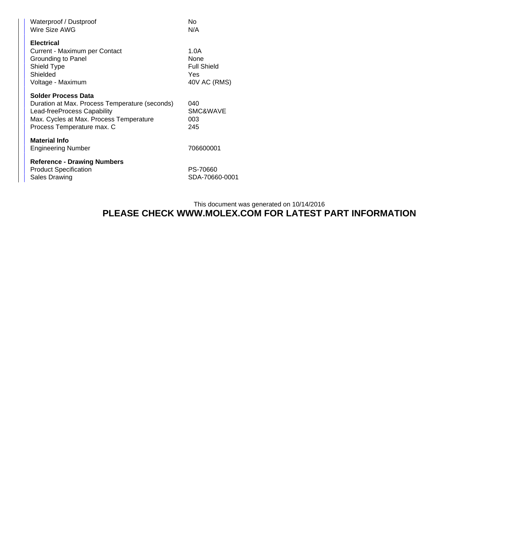| Waterproof / Dustproof<br>Wire Size AWG                                                                                                                                              | No<br>N/A                                                 |
|--------------------------------------------------------------------------------------------------------------------------------------------------------------------------------------|-----------------------------------------------------------|
| <b>Electrical</b><br>Current - Maximum per Contact<br>Grounding to Panel<br>Shield Type<br>Shielded<br>Voltage - Maximum                                                             | 1.0A<br>None<br><b>Full Shield</b><br>Yes<br>40V AC (RMS) |
| <b>Solder Process Data</b><br>Duration at Max. Process Temperature (seconds)<br>Lead-freeProcess Capability<br>Max. Cycles at Max. Process Temperature<br>Process Temperature max. C | 040<br>SMC&WAVE<br>003<br>245                             |
| <b>Material Info</b><br><b>Engineering Number</b>                                                                                                                                    | 706600001                                                 |
| <b>Reference - Drawing Numbers</b><br><b>Product Specification</b><br><b>Sales Drawing</b>                                                                                           | PS-70660<br>SDA-70660-0001                                |

## This document was generated on 10/14/2016 **PLEASE CHECK WWW.MOLEX.COM FOR LATEST PART INFORMATION**